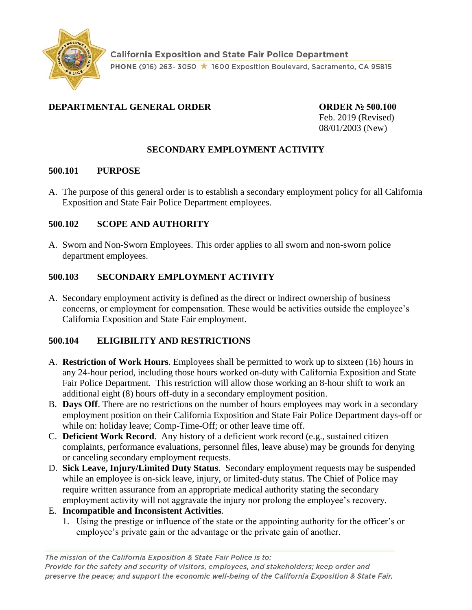

# **DEPARTMENTAL GENERAL ORDER ORDER № 500.100**

Feb. 2019 (Revised) 08/01/2003 (New)

## **SECONDARY EMPLOYMENT ACTIVITY**

#### **500.101 PURPOSE**

A. The purpose of this general order is to establish a secondary employment policy for all California Exposition and State Fair Police Department employees.

### **500.102 SCOPE AND AUTHORITY**

A. Sworn and Non-Sworn Employees. This order applies to all sworn and non-sworn police department employees.

### **500.103 SECONDARY EMPLOYMENT ACTIVITY**

A. Secondary employment activity is defined as the direct or indirect ownership of business concerns, or employment for compensation. These would be activities outside the employee's California Exposition and State Fair employment.

### **500.104 ELIGIBILITY AND RESTRICTIONS**

- A. **Restriction of Work Hours**. Employees shall be permitted to work up to sixteen (16) hours in any 24-hour period, including those hours worked on-duty with California Exposition and State Fair Police Department. This restriction will allow those working an 8-hour shift to work an additional eight (8) hours off-duty in a secondary employment position.
- B. **Days Off**. There are no restrictions on the number of hours employees may work in a secondary employment position on their California Exposition and State Fair Police Department days-off or while on: holiday leave; Comp-Time-Off; or other leave time off.
- C. **Deficient Work Record**. Any history of a deficient work record (e.g., sustained citizen complaints, performance evaluations, personnel files, leave abuse) may be grounds for denying or canceling secondary employment requests.
- D. **Sick Leave, Injury/Limited Duty Status**. Secondary employment requests may be suspended while an employee is on-sick leave, injury, or limited-duty status. The Chief of Police may require written assurance from an appropriate medical authority stating the secondary employment activity will not aggravate the injury nor prolong the employee's recovery.
- E. **Incompatible and Inconsistent Activities**.
	- 1. Using the prestige or influence of the state or the appointing authority for the officer's or employee's private gain or the advantage or the private gain of another.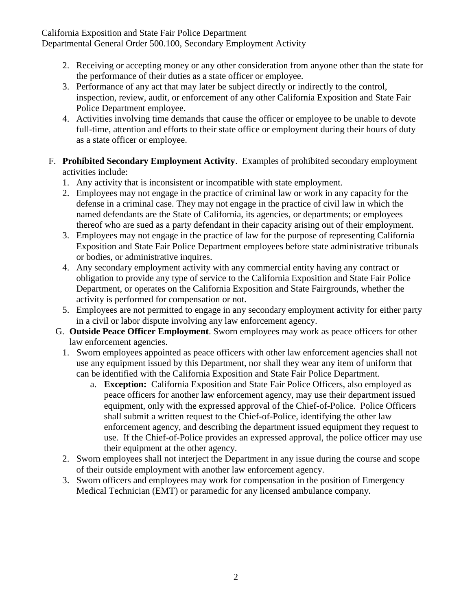California Exposition and State Fair Police Department Departmental General Order 500.100, Secondary Employment Activity

- 2. Receiving or accepting money or any other consideration from anyone other than the state for the performance of their duties as a state officer or employee.
- 3. Performance of any act that may later be subject directly or indirectly to the control, inspection, review, audit, or enforcement of any other California Exposition and State Fair Police Department employee.
- 4. Activities involving time demands that cause the officer or employee to be unable to devote full-time, attention and efforts to their state office or employment during their hours of duty as a state officer or employee.
- F. **Prohibited Secondary Employment Activity**. Examples of prohibited secondary employment activities include:
	- 1. Any activity that is inconsistent or incompatible with state employment.
	- 2. Employees may not engage in the practice of criminal law or work in any capacity for the defense in a criminal case. They may not engage in the practice of civil law in which the named defendants are the State of California, its agencies, or departments; or employees thereof who are sued as a party defendant in their capacity arising out of their employment.
	- 3. Employees may not engage in the practice of law for the purpose of representing California Exposition and State Fair Police Department employees before state administrative tribunals or bodies, or administrative inquires.
	- 4. Any secondary employment activity with any commercial entity having any contract or obligation to provide any type of service to the California Exposition and State Fair Police Department, or operates on the California Exposition and State Fairgrounds, whether the activity is performed for compensation or not.
	- 5. Employees are not permitted to engage in any secondary employment activity for either party in a civil or labor dispute involving any law enforcement agency.
	- G. **Outside Peace Officer Employment**. Sworn employees may work as peace officers for other law enforcement agencies.
		- 1. Sworn employees appointed as peace officers with other law enforcement agencies shall not use any equipment issued by this Department, nor shall they wear any item of uniform that can be identified with the California Exposition and State Fair Police Department.
			- a. **Exception:** California Exposition and State Fair Police Officers, also employed as peace officers for another law enforcement agency, may use their department issued equipment, only with the expressed approval of the Chief-of-Police. Police Officers shall submit a written request to the Chief-of-Police, identifying the other law enforcement agency, and describing the department issued equipment they request to use. If the Chief-of-Police provides an expressed approval, the police officer may use their equipment at the other agency.
		- 2. Sworn employees shall not interject the Department in any issue during the course and scope of their outside employment with another law enforcement agency.
		- 3. Sworn officers and employees may work for compensation in the position of Emergency Medical Technician (EMT) or paramedic for any licensed ambulance company.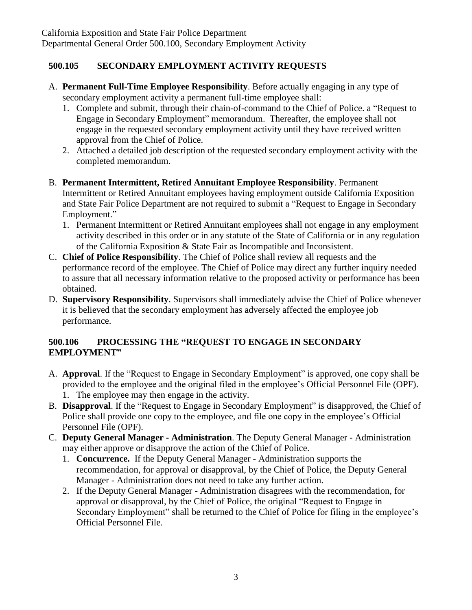# **500.105 SECONDARY EMPLOYMENT ACTIVITY REQUESTS**

- A. **Permanent Full-Time Employee Responsibility**. Before actually engaging in any type of secondary employment activity a permanent full-time employee shall:
	- 1. Complete and submit, through their chain-of-command to the Chief of Police. a "Request to Engage in Secondary Employment" memorandum. Thereafter, the employee shall not engage in the requested secondary employment activity until they have received written approval from the Chief of Police.
	- 2. Attached a detailed job description of the requested secondary employment activity with the completed memorandum.
- B. **Permanent Intermittent, Retired Annuitant Employee Responsibility**. Permanent Intermittent or Retired Annuitant employees having employment outside California Exposition and State Fair Police Department are not required to submit a "Request to Engage in Secondary Employment."
	- 1. Permanent Intermittent or Retired Annuitant employees shall not engage in any employment activity described in this order or in any statute of the State of California or in any regulation of the California Exposition & State Fair as Incompatible and Inconsistent.
- C. **Chief of Police Responsibility**. The Chief of Police shall review all requests and the performance record of the employee. The Chief of Police may direct any further inquiry needed to assure that all necessary information relative to the proposed activity or performance has been obtained.
- D. **Supervisory Responsibility**. Supervisors shall immediately advise the Chief of Police whenever it is believed that the secondary employment has adversely affected the employee job performance.

#### **500.106 PROCESSING THE "REQUEST TO ENGAGE IN SECONDARY EMPLOYMENT"**

- A. **Approval**. If the "Request to Engage in Secondary Employment" is approved, one copy shall be provided to the employee and the original filed in the employee's Official Personnel File (OPF). 1. The employee may then engage in the activity.
- B. **Disapproval**. If the "Request to Engage in Secondary Employment" is disapproved, the Chief of Police shall provide one copy to the employee, and file one copy in the employee's Official Personnel File (OPF).
- C. **Deputy General Manager - Administration**. The Deputy General Manager Administration may either approve or disapprove the action of the Chief of Police.
	- 1. **Concurrence.** If the Deputy General Manager Administration supports the recommendation, for approval or disapproval, by the Chief of Police, the Deputy General Manager - Administration does not need to take any further action.
	- 2. If the Deputy General Manager Administration disagrees with the recommendation, for approval or disapproval, by the Chief of Police, the original "Request to Engage in Secondary Employment" shall be returned to the Chief of Police for filing in the employee's Official Personnel File.